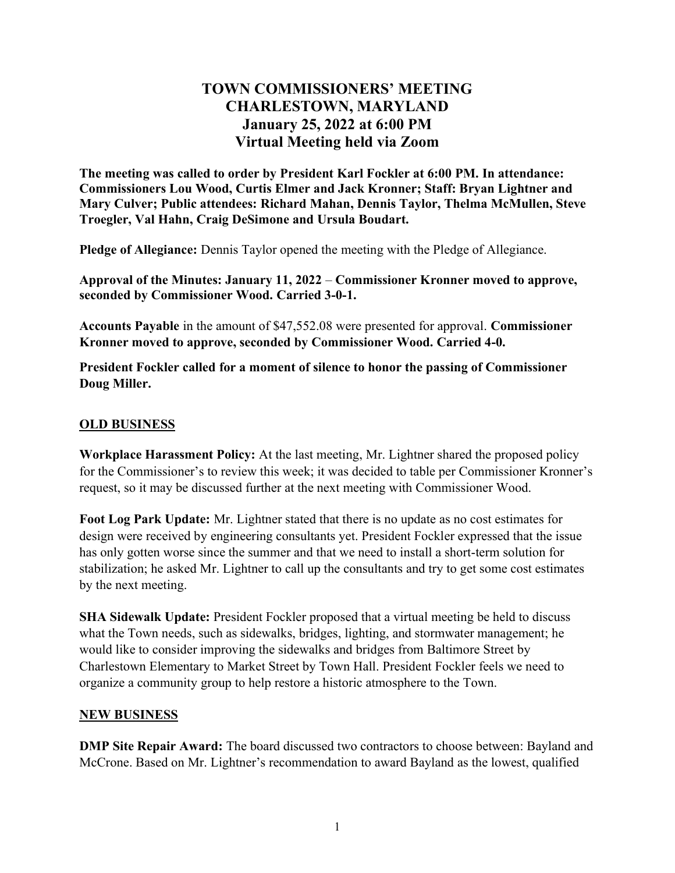# TOWN COMMISSIONERS' MEETING CHARLESTOWN, MARYLAND January 25, 2022 at 6:00 PM Virtual Meeting held via Zoom

The meeting was called to order by President Karl Fockler at 6:00 PM. In attendance: Commissioners Lou Wood, Curtis Elmer and Jack Kronner; Staff: Bryan Lightner and Mary Culver; Public attendees: Richard Mahan, Dennis Taylor, Thelma McMullen, Steve Troegler, Val Hahn, Craig DeSimone and Ursula Boudart.

Pledge of Allegiance: Dennis Taylor opened the meeting with the Pledge of Allegiance.

Approval of the Minutes: January 11, 2022 – Commissioner Kronner moved to approve, seconded by Commissioner Wood. Carried 3-0-1.

Accounts Payable in the amount of \$47,552.08 were presented for approval. Commissioner Kronner moved to approve, seconded by Commissioner Wood. Carried 4-0.

President Fockler called for a moment of silence to honor the passing of Commissioner Doug Miller.

#### OLD BUSINESS

Workplace Harassment Policy: At the last meeting, Mr. Lightner shared the proposed policy for the Commissioner's to review this week; it was decided to table per Commissioner Kronner's request, so it may be discussed further at the next meeting with Commissioner Wood.

Foot Log Park Update: Mr. Lightner stated that there is no update as no cost estimates for design were received by engineering consultants yet. President Fockler expressed that the issue has only gotten worse since the summer and that we need to install a short-term solution for stabilization; he asked Mr. Lightner to call up the consultants and try to get some cost estimates by the next meeting.

SHA Sidewalk Update: President Fockler proposed that a virtual meeting be held to discuss what the Town needs, such as sidewalks, bridges, lighting, and stormwater management; he would like to consider improving the sidewalks and bridges from Baltimore Street by Charlestown Elementary to Market Street by Town Hall. President Fockler feels we need to organize a community group to help restore a historic atmosphere to the Town.

#### NEW BUSINESS

DMP Site Repair Award: The board discussed two contractors to choose between: Bayland and McCrone. Based on Mr. Lightner's recommendation to award Bayland as the lowest, qualified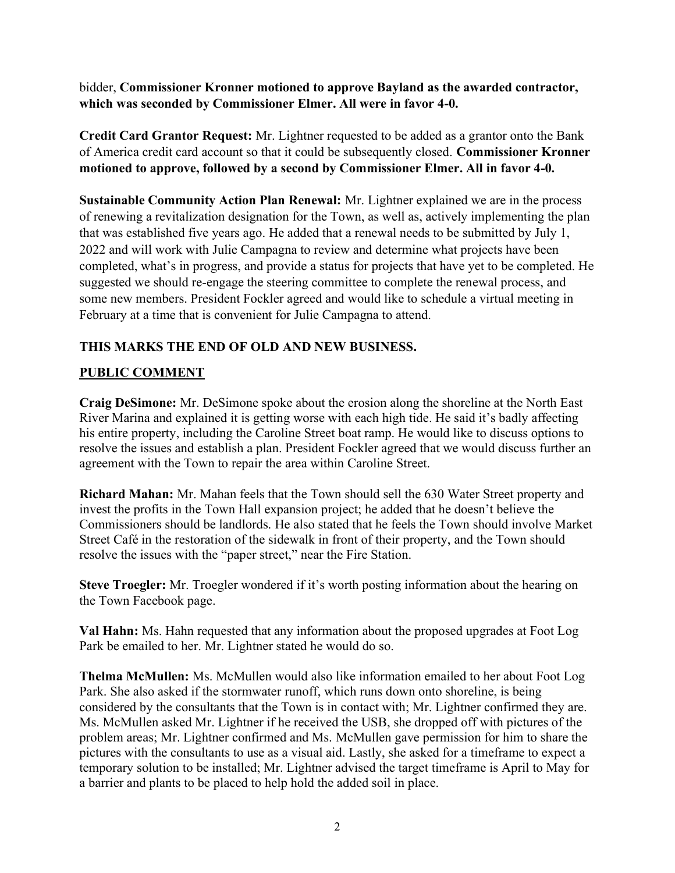bidder, Commissioner Kronner motioned to approve Bayland as the awarded contractor, which was seconded by Commissioner Elmer. All were in favor 4-0.

Credit Card Grantor Request: Mr. Lightner requested to be added as a grantor onto the Bank of America credit card account so that it could be subsequently closed. Commissioner Kronner motioned to approve, followed by a second by Commissioner Elmer. All in favor 4-0.

Sustainable Community Action Plan Renewal: Mr. Lightner explained we are in the process of renewing a revitalization designation for the Town, as well as, actively implementing the plan that was established five years ago. He added that a renewal needs to be submitted by July 1, 2022 and will work with Julie Campagna to review and determine what projects have been completed, what's in progress, and provide a status for projects that have yet to be completed. He suggested we should re-engage the steering committee to complete the renewal process, and some new members. President Fockler agreed and would like to schedule a virtual meeting in February at a time that is convenient for Julie Campagna to attend.

## THIS MARKS THE END OF OLD AND NEW BUSINESS.

## PUBLIC COMMENT

Craig DeSimone: Mr. DeSimone spoke about the erosion along the shoreline at the North East River Marina and explained it is getting worse with each high tide. He said it's badly affecting his entire property, including the Caroline Street boat ramp. He would like to discuss options to resolve the issues and establish a plan. President Fockler agreed that we would discuss further an agreement with the Town to repair the area within Caroline Street.

Richard Mahan: Mr. Mahan feels that the Town should sell the 630 Water Street property and invest the profits in the Town Hall expansion project; he added that he doesn't believe the Commissioners should be landlords. He also stated that he feels the Town should involve Market Street Café in the restoration of the sidewalk in front of their property, and the Town should resolve the issues with the "paper street," near the Fire Station.

Steve Troegler: Mr. Troegler wondered if it's worth posting information about the hearing on the Town Facebook page.

Val Hahn: Ms. Hahn requested that any information about the proposed upgrades at Foot Log Park be emailed to her. Mr. Lightner stated he would do so.

Thelma McMullen: Ms. McMullen would also like information emailed to her about Foot Log Park. She also asked if the stormwater runoff, which runs down onto shoreline, is being considered by the consultants that the Town is in contact with; Mr. Lightner confirmed they are. Ms. McMullen asked Mr. Lightner if he received the USB, she dropped off with pictures of the problem areas; Mr. Lightner confirmed and Ms. McMullen gave permission for him to share the pictures with the consultants to use as a visual aid. Lastly, she asked for a timeframe to expect a temporary solution to be installed; Mr. Lightner advised the target timeframe is April to May for a barrier and plants to be placed to help hold the added soil in place.